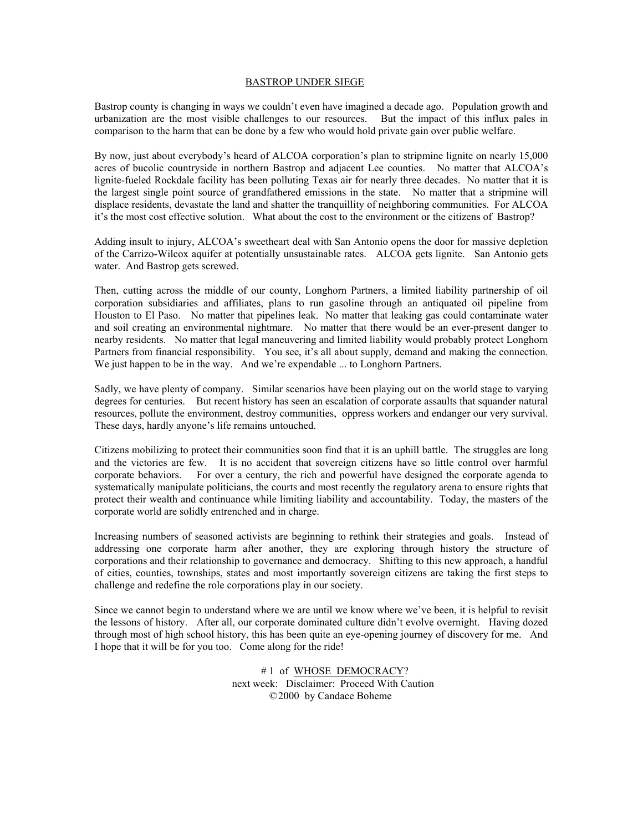### BASTROP UNDER SIEGE

Bastrop county is changing in ways we couldn't even have imagined a decade ago. Population growth and urbanization are the most visible challenges to our resources. But the impact of this influx pales in comparison to the harm that can be done by a few who would hold private gain over public welfare.

By now, just about everybody's heard of ALCOA corporation's plan to stripmine lignite on nearly 15,000 acres of bucolic countryside in northern Bastrop and adjacent Lee counties. No matter that ALCOA's lignite-fueled Rockdale facility has been polluting Texas air for nearly three decades. No matter that it is the largest single point source of grandfathered emissions in the state. No matter that a stripmine will displace residents, devastate the land and shatter the tranquillity of neighboring communities. For ALCOA it's the most cost effective solution. What about the cost to the environment or the citizens of Bastrop?

Adding insult to injury, ALCOA's sweetheart deal with San Antonio opens the door for massive depletion of the Carrizo-Wilcox aquifer at potentially unsustainable rates. ALCOA gets lignite. San Antonio gets water. And Bastrop gets screwed.

Then, cutting across the middle of our county, Longhorn Partners, a limited liability partnership of oil corporation subsidiaries and affiliates, plans to run gasoline through an antiquated oil pipeline from Houston to El Paso. No matter that pipelines leak. No matter that leaking gas could contaminate water and soil creating an environmental nightmare. No matter that there would be an ever-present danger to nearby residents. No matter that legal maneuvering and limited liability would probably protect Longhorn Partners from financial responsibility. You see, it's all about supply, demand and making the connection. We just happen to be in the way. And we're expendable ... to Longhorn Partners.

Sadly, we have plenty of company. Similar scenarios have been playing out on the world stage to varying degrees for centuries. But recent history has seen an escalation of corporate assaults that squander natural resources, pollute the environment, destroy communities, oppress workers and endanger our very survival. These days, hardly anyone's life remains untouched.

Citizens mobilizing to protect their communities soon find that it is an uphill battle. The struggles are long and the victories are few. It is no accident that sovereign citizens have so little control over harmful corporate behaviors. For over a century, the rich and powerful have designed the corporate agenda to systematically manipulate politicians, the courts and most recently the regulatory arena to ensure rights that protect their wealth and continuance while limiting liability and accountability. Today, the masters of the corporate world are solidly entrenched and in charge.

Increasing numbers of seasoned activists are beginning to rethink their strategies and goals. Instead of addressing one corporate harm after another, they are exploring through history the structure of corporations and their relationship to governance and democracy. Shifting to this new approach, a handful of cities, counties, townships, states and most importantly sovereign citizens are taking the first steps to challenge and redefine the role corporations play in our society.

Since we cannot begin to understand where we are until we know where we've been, it is helpful to revisit the lessons of history. After all, our corporate dominated culture didn't evolve overnight. Having dozed through most of high school history, this has been quite an eye-opening journey of discovery for me. And I hope that it will be for you too. Come along for the ride!

> # 1 of WHOSE DEMOCRACY? next week: Disclaimer: Proceed With Caution © 2000 by Candace Boheme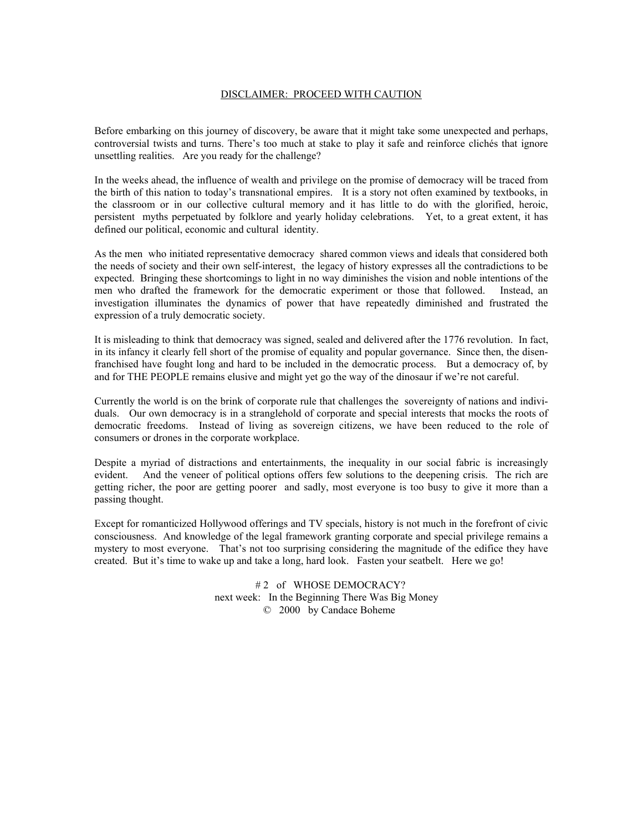# DISCLAIMER: PROCEED WITH CAUTION

Before embarking on this journey of discovery, be aware that it might take some unexpected and perhaps, controversial twists and turns. There's too much at stake to play it safe and reinforce clichés that ignore unsettling realities. Are you ready for the challenge?

In the weeks ahead, the influence of wealth and privilege on the promise of democracy will be traced from the birth of this nation to today's transnational empires. It is a story not often examined by textbooks, in the classroom or in our collective cultural memory and it has little to do with the glorified, heroic, persistent myths perpetuated by folklore and yearly holiday celebrations. Yet, to a great extent, it has defined our political, economic and cultural identity.

As the men who initiated representative democracy shared common views and ideals that considered both the needs of society and their own self-interest, the legacy of history expresses all the contradictions to be expected. Bringing these shortcomings to light in no way diminishes the vision and noble intentions of the men who drafted the framework for the democratic experiment or those that followed. Instead, an investigation illuminates the dynamics of power that have repeatedly diminished and frustrated the expression of a truly democratic society.

It is misleading to think that democracy was signed, sealed and delivered after the 1776 revolution. In fact, in its infancy it clearly fell short of the promise of equality and popular governance. Since then, the disenfranchised have fought long and hard to be included in the democratic process. But a democracy of, by and for THE PEOPLE remains elusive and might yet go the way of the dinosaur if we're not careful.

Currently the world is on the brink of corporate rule that challenges the sovereignty of nations and individuals. Our own democracy is in a stranglehold of corporate and special interests that mocks the roots of democratic freedoms. Instead of living as sovereign citizens, we have been reduced to the role of consumers or drones in the corporate workplace.

Despite a myriad of distractions and entertainments, the inequality in our social fabric is increasingly evident. And the veneer of political options offers few solutions to the deepening crisis. The rich are getting richer, the poor are getting poorer and sadly, most everyone is too busy to give it more than a passing thought.

Except for romanticized Hollywood offerings and TV specials, history is not much in the forefront of civic consciousness. And knowledge of the legal framework granting corporate and special privilege remains a mystery to most everyone. That's not too surprising considering the magnitude of the edifice they have created. But it's time to wake up and take a long, hard look. Fasten your seatbelt. Here we go!

> #2 of WHOSE DEMOCRACY? next week: In the Beginning There Was Big Money © 2000 by Candace Boheme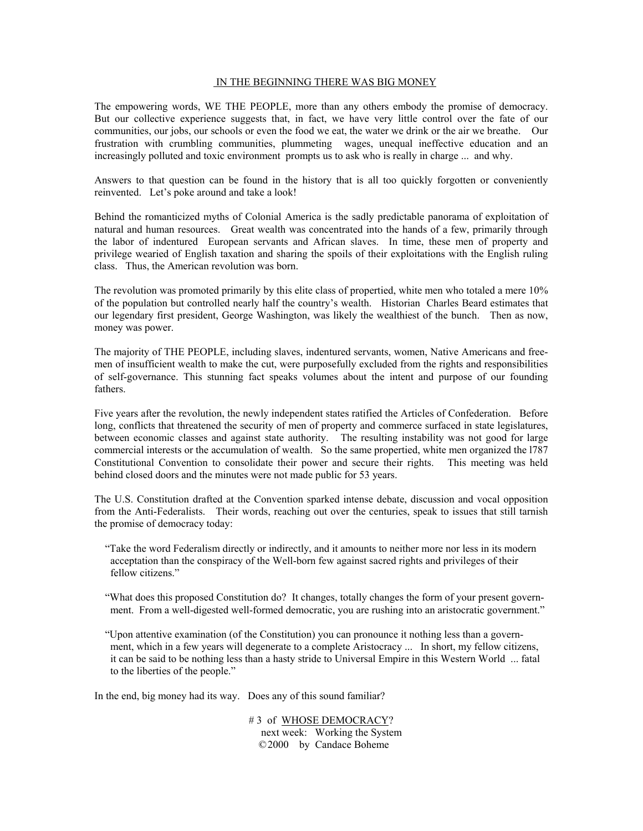### IN THE BEGINNING THERE WAS BIG MONEY

The empowering words, WE THE PEOPLE, more than any others embody the promise of democracy. But our collective experience suggests that, in fact, we have very little control over the fate of our communities, our jobs, our schools or even the food we eat, the water we drink or the air we breathe. Our frustration with crumbling communities, plummeting wages, unequal ineffective education and an increasingly polluted and toxic environment prompts us to ask who is really in charge ... and why.

Answers to that question can be found in the history that is all too quickly forgotten or conveniently reinvented. Let's poke around and take a look!

Behind the romanticized myths of Colonial America is the sadly predictable panorama of exploitation of natural and human resources. Great wealth was concentrated into the hands of a few, primarily through the labor of indentured European servants and African slaves. In time, these men of property and privilege wearied of English taxation and sharing the spoils of their exploitations with the English ruling class. Thus, the American revolution was born.

The revolution was promoted primarily by this elite class of propertied, white men who totaled a mere 10% of the population but controlled nearly half the country's wealth. Historian Charles Beard estimates that our legendary first president, George Washington, was likely the wealthiest of the bunch. Then as now, money was power.

The majority of THE PEOPLE, including slaves, indentured servants, women, Native Americans and freemen of insufficient wealth to make the cut, were purposefully excluded from the rights and responsibilities of self-governance. This stunning fact speaks volumes about the intent and purpose of our founding fathers.

Five years after the revolution, the newly independent states ratified the Articles of Confederation. Before long, conflicts that threatened the security of men of property and commerce surfaced in state legislatures, between economic classes and against state authority. The resulting instability was not good for large commercial interests or the accumulation of wealth. So the same propertied, white men organized the l787 Constitutional Convention to consolidate their power and secure their rights. This meeting was held behind closed doors and the minutes were not made public for 53 years.

The U.S. Constitution drafted at the Convention sparked intense debate, discussion and vocal opposition from the Anti-Federalists. Their words, reaching out over the centuries, speak to issues that still tarnish the promise of democracy today:

 "Take the word Federalism directly or indirectly, and it amounts to neither more nor less in its modern acceptation than the conspiracy of the Well-born few against sacred rights and privileges of their fellow citizens."

 "What does this proposed Constitution do? It changes, totally changes the form of your present govern ment. From a well-digested well-formed democratic, you are rushing into an aristocratic government."

 "Upon attentive examination (of the Constitution) you can pronounce it nothing less than a govern ment, which in a few years will degenerate to a complete Aristocracy ... In short, my fellow citizens, it can be said to be nothing less than a hasty stride to Universal Empire in this Western World ... fatal to the liberties of the people."

In the end, big money had its way. Does any of this sound familiar?

# 3 of WHOSE DEMOCRACY? next week: Working the System © 2000 by Candace Boheme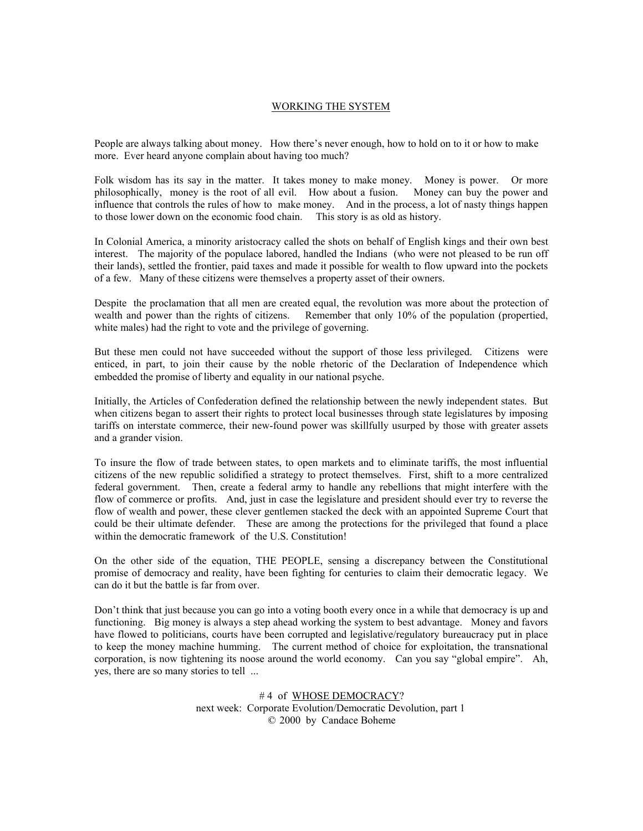## WORKING THE SYSTEM

People are always talking about money. How there's never enough, how to hold on to it or how to make more. Ever heard anyone complain about having too much?

Folk wisdom has its say in the matter. It takes money to make money. Money is power. Or more philosophically, money is the root of all evil. How about a fusion. Money can buy the power and influence that controls the rules of how to make money. And in the process, a lot of nasty things happen to those lower down on the economic food chain. This story is as old as history.

In Colonial America, a minority aristocracy called the shots on behalf of English kings and their own best interest. The majority of the populace labored, handled the Indians (who were not pleased to be run off their lands), settled the frontier, paid taxes and made it possible for wealth to flow upward into the pockets of a few. Many of these citizens were themselves a property asset of their owners.

Despite the proclamation that all men are created equal, the revolution was more about the protection of wealth and power than the rights of citizens. Remember that only 10% of the population (propertied, white males) had the right to vote and the privilege of governing.

But these men could not have succeeded without the support of those less privileged. Citizens were enticed, in part, to join their cause by the noble rhetoric of the Declaration of Independence which embedded the promise of liberty and equality in our national psyche.

Initially, the Articles of Confederation defined the relationship between the newly independent states. But when citizens began to assert their rights to protect local businesses through state legislatures by imposing tariffs on interstate commerce, their new-found power was skillfully usurped by those with greater assets and a grander vision.

To insure the flow of trade between states, to open markets and to eliminate tariffs, the most influential citizens of the new republic solidified a strategy to protect themselves. First, shift to a more centralized federal government. Then, create a federal army to handle any rebellions that might interfere with the flow of commerce or profits. And, just in case the legislature and president should ever try to reverse the flow of wealth and power, these clever gentlemen stacked the deck with an appointed Supreme Court that could be their ultimate defender. These are among the protections for the privileged that found a place within the democratic framework of the U.S. Constitution!

On the other side of the equation, THE PEOPLE, sensing a discrepancy between the Constitutional promise of democracy and reality, have been fighting for centuries to claim their democratic legacy. We can do it but the battle is far from over.

Don't think that just because you can go into a voting booth every once in a while that democracy is up and functioning. Big money is always a step ahead working the system to best advantage. Money and favors have flowed to politicians, courts have been corrupted and legislative/regulatory bureaucracy put in place to keep the money machine humming. The current method of choice for exploitation, the transnational corporation, is now tightening its noose around the world economy. Can you say "global empire". Ah, yes, there are so many stories to tell ...

> #4 of WHOSE DEMOCRACY? next week: Corporate Evolution/Democratic Devolution, part 1 © 2000 by Candace Boheme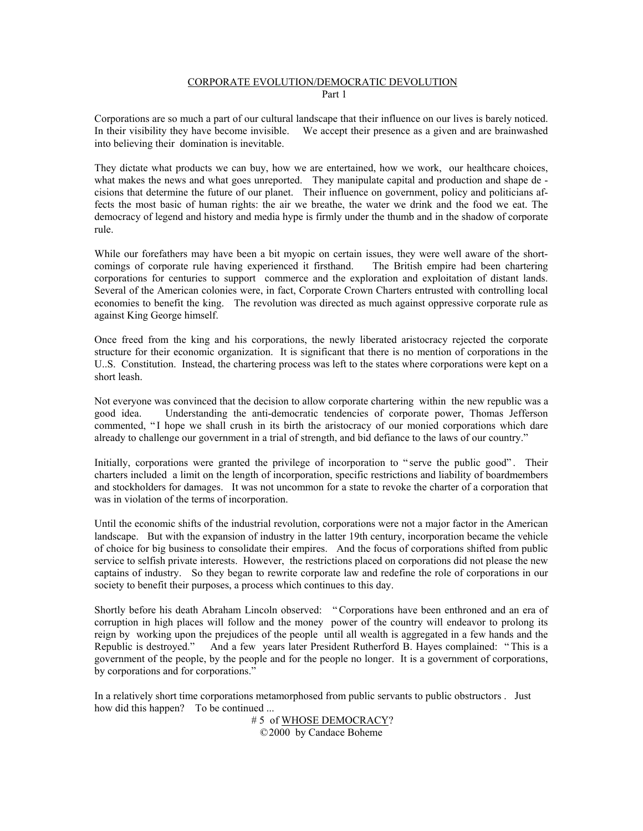## CORPORATE EVOLUTION/DEMOCRATIC DEVOLUTION Part 1

Corporations are so much a part of our cultural landscape that their influence on our lives is barely noticed. In their visibility they have become invisible. We accept their presence as a given and are brainwashed into believing their domination is inevitable.

They dictate what products we can buy, how we are entertained, how we work, our healthcare choices, what makes the news and what goes unreported. They manipulate capital and production and shape de cisions that determine the future of our planet. Their influence on government, policy and politicians affects the most basic of human rights: the air we breathe, the water we drink and the food we eat. The democracy of legend and history and media hype is firmly under the thumb and in the shadow of corporate rule.

While our forefathers may have been a bit myopic on certain issues, they were well aware of the shortcomings of corporate rule having experienced it firsthand. The British empire had been chartering corporations for centuries to support commerce and the exploration and exploitation of distant lands. Several of the American colonies were, in fact, Corporate Crown Charters entrusted with controlling local economies to benefit the king. The revolution was directed as much against oppressive corporate rule as against King George himself.

Once freed from the king and his corporations, the newly liberated aristocracy rejected the corporate structure for their economic organization. It is significant that there is no mention of corporations in the U..S. Constitution. Instead, the chartering process was left to the states where corporations were kept on a short leash.

Not everyone was convinced that the decision to allow corporate chartering within the new republic was a good idea. Understanding the anti-democratic tendencies of corporate power, Thomas Jefferson commented, "I hope we shall crush in its birth the aristocracy of our monied corporations which dare already to challenge our government in a trial of strength, and bid defiance to the laws of our country."

Initially, corporations were granted the privilege of incorporation to "serve the public good". Their charters included a limit on the length of incorporation, specific restrictions and liability of boardmembers and stockholders for damages. It was not uncommon for a state to revoke the charter of a corporation that was in violation of the terms of incorporation.

Until the economic shifts of the industrial revolution, corporations were not a major factor in the American landscape. But with the expansion of industry in the latter 19th century, incorporation became the vehicle of choice for big business to consolidate their empires. And the focus of corporations shifted from public service to selfish private interests. However, the restrictions placed on corporations did not please the new captains of industry. So they began to rewrite corporate law and redefine the role of corporations in our society to benefit their purposes, a process which continues to this day.

Shortly before his death Abraham Lincoln observed: " Corporations have been enthroned and an era of corruption in high places will follow and the money power of the country will endeavor to prolong its reign by working upon the prejudices of the people until all wealth is aggregated in a few hands and the Republic is destroyed." And a few years later President Rutherford B. Hayes complained: " This is a government of the people, by the people and for the people no longer. It is a government of corporations, by corporations and for corporations."

In a relatively short time corporations metamorphosed from public servants to public obstructors . Just how did this happen? To be continued ...

 # 5 of WHOSE DEMOCRACY? © 2000 by Candace Boheme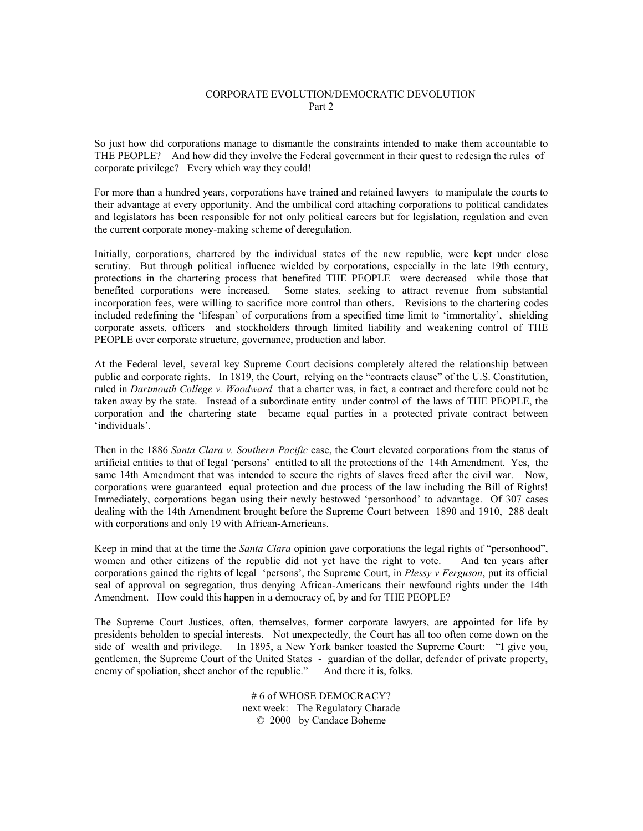# CORPORATE EVOLUTION/DEMOCRATIC DEVOLUTION Part 2

So just how did corporations manage to dismantle the constraints intended to make them accountable to THE PEOPLE? And how did they involve the Federal government in their quest to redesign the rules of corporate privilege? Every which way they could!

For more than a hundred years, corporations have trained and retained lawyers to manipulate the courts to their advantage at every opportunity. And the umbilical cord attaching corporations to political candidates and legislators has been responsible for not only political careers but for legislation, regulation and even the current corporate money-making scheme of deregulation.

Initially, corporations, chartered by the individual states of the new republic, were kept under close scrutiny. But through political influence wielded by corporations, especially in the late 19th century, protections in the chartering process that benefited THE PEOPLE were decreased while those that benefited corporations were increased. Some states, seeking to attract revenue from substantial incorporation fees, were willing to sacrifice more control than others. Revisions to the chartering codes included redefining the 'lifespan' of corporations from a specified time limit to 'immortality', shielding corporate assets, officers and stockholders through limited liability and weakening control of THE PEOPLE over corporate structure, governance, production and labor.

At the Federal level, several key Supreme Court decisions completely altered the relationship between public and corporate rights. In 1819, the Court, relying on the "contracts clause" of the U.S. Constitution, ruled in *Dartmouth College v. Woodward* that a charter was, in fact, a contract and therefore could not be taken away by the state. Instead of a subordinate entity under control of the laws of THE PEOPLE, the corporation and the chartering state became equal parties in a protected private contract between 'individuals'.

Then in the 1886 *Santa Clara v. Southern Pacific* case, the Court elevated corporations from the status of artificial entities to that of legal 'persons' entitled to all the protections of the 14th Amendment. Yes, the same 14th Amendment that was intended to secure the rights of slaves freed after the civil war. Now, corporations were guaranteed equal protection and due process of the law including the Bill of Rights! Immediately, corporations began using their newly bestowed 'personhood' to advantage. Of 307 cases dealing with the 14th Amendment brought before the Supreme Court between 1890 and 1910, 288 dealt with corporations and only 19 with African-Americans.

Keep in mind that at the time the *Santa Clara* opinion gave corporations the legal rights of "personhood", women and other citizens of the republic did not yet have the right to vote. And ten years after corporations gained the rights of legal 'persons', the Supreme Court, in *Plessy v Ferguson*, put its official seal of approval on segregation, thus denying African-Americans their newfound rights under the 14th Amendment. How could this happen in a democracy of, by and for THE PEOPLE?

The Supreme Court Justices, often, themselves, former corporate lawyers, are appointed for life by presidents beholden to special interests. Not unexpectedly, the Court has all too often come down on the side of wealth and privilege. In 1895, a New York banker toasted the Supreme Court: "I give you, gentlemen, the Supreme Court of the United States - guardian of the dollar, defender of private property, enemy of spoliation, sheet anchor of the republic." And there it is, folks.

> # 6 of WHOSE DEMOCRACY? next week: The Regulatory Charade © 2000 by Candace Boheme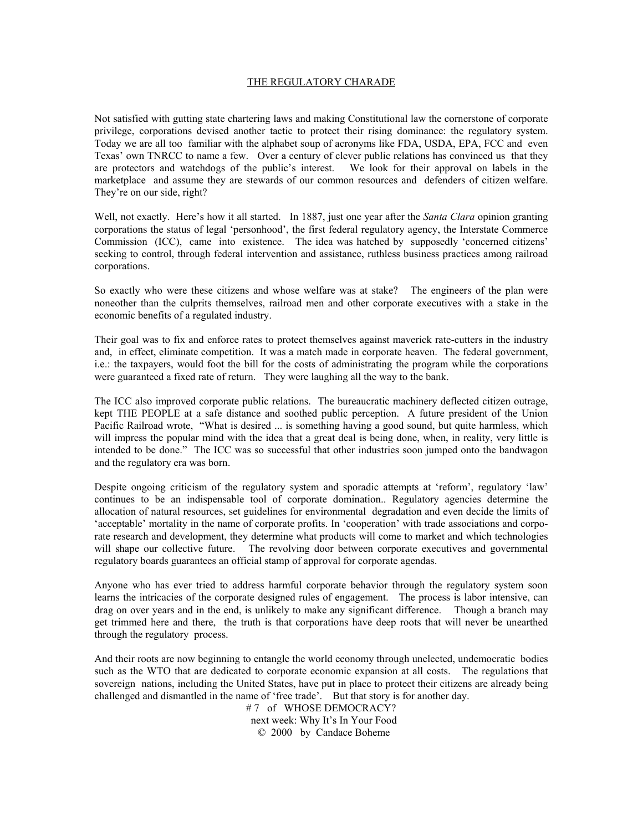## THE REGULATORY CHARADE

Not satisfied with gutting state chartering laws and making Constitutional law the cornerstone of corporate privilege, corporations devised another tactic to protect their rising dominance: the regulatory system. Today we are all too familiar with the alphabet soup of acronyms like FDA, USDA, EPA, FCC and even Texas' own TNRCC to name a few. Over a century of clever public relations has convinced us that they are protectors and watchdogs of the public's interest. We look for their approval on labels in the marketplace and assume they are stewards of our common resources and defenders of citizen welfare. They're on our side, right?

Well, not exactly. Here's how it all started. In 1887, just one year after the *Santa Clara* opinion granting corporations the status of legal 'personhood', the first federal regulatory agency, the Interstate Commerce Commission (ICC), came into existence. The idea was hatched by supposedly 'concerned citizens' seeking to control, through federal intervention and assistance, ruthless business practices among railroad corporations.

So exactly who were these citizens and whose welfare was at stake? The engineers of the plan were noneother than the culprits themselves, railroad men and other corporate executives with a stake in the economic benefits of a regulated industry.

Their goal was to fix and enforce rates to protect themselves against maverick rate-cutters in the industry and, in effect, eliminate competition. It was a match made in corporate heaven. The federal government, i.e.: the taxpayers, would foot the bill for the costs of administrating the program while the corporations were guaranteed a fixed rate of return. They were laughing all the way to the bank.

The ICC also improved corporate public relations. The bureaucratic machinery deflected citizen outrage, kept THE PEOPLE at a safe distance and soothed public perception. A future president of the Union Pacific Railroad wrote, "What is desired ... is something having a good sound, but quite harmless, which will impress the popular mind with the idea that a great deal is being done, when, in reality, very little is intended to be done." The ICC was so successful that other industries soon jumped onto the bandwagon and the regulatory era was born.

Despite ongoing criticism of the regulatory system and sporadic attempts at 'reform', regulatory 'law' continues to be an indispensable tool of corporate domination.. Regulatory agencies determine the allocation of natural resources, set guidelines for environmental degradation and even decide the limits of 'acceptable' mortality in the name of corporate profits. In 'cooperation' with trade associations and corporate research and development, they determine what products will come to market and which technologies will shape our collective future. The revolving door between corporate executives and governmental regulatory boards guarantees an official stamp of approval for corporate agendas.

Anyone who has ever tried to address harmful corporate behavior through the regulatory system soon learns the intricacies of the corporate designed rules of engagement. The process is labor intensive, can drag on over years and in the end, is unlikely to make any significant difference. Though a branch may get trimmed here and there, the truth is that corporations have deep roots that will never be unearthed through the regulatory process.

And their roots are now beginning to entangle the world economy through unelected, undemocratic bodies such as the WTO that are dedicated to corporate economic expansion at all costs. The regulations that sovereign nations, including the United States, have put in place to protect their citizens are already being challenged and dismantled in the name of 'free trade'. But that story is for another day.

# 7 of WHOSE DEMOCRACY? next week: Why It's In Your Food © 2000 by Candace Boheme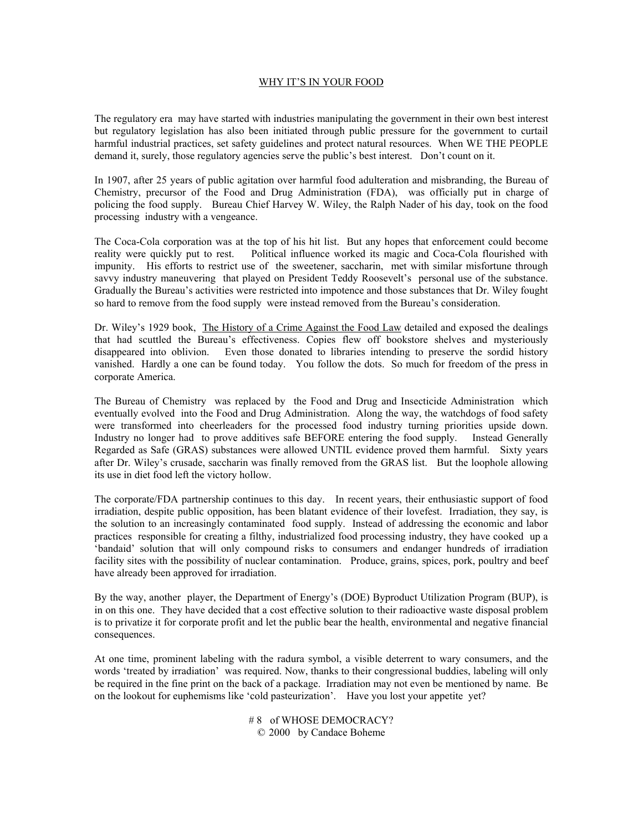## WHY IT'S IN YOUR FOOD

The regulatory era may have started with industries manipulating the government in their own best interest but regulatory legislation has also been initiated through public pressure for the government to curtail harmful industrial practices, set safety guidelines and protect natural resources. When WE THE PEOPLE demand it, surely, those regulatory agencies serve the public's best interest. Don't count on it.

In 1907, after 25 years of public agitation over harmful food adulteration and misbranding, the Bureau of Chemistry, precursor of the Food and Drug Administration (FDA), was officially put in charge of policing the food supply. Bureau Chief Harvey W. Wiley, the Ralph Nader of his day, took on the food processing industry with a vengeance.

The Coca-Cola corporation was at the top of his hit list. But any hopes that enforcement could become reality were quickly put to rest. Political influence worked its magic and Coca-Cola flourished with impunity. His efforts to restrict use of the sweetener, saccharin, met with similar misfortune through savvy industry maneuvering that played on President Teddy Roosevelt's personal use of the substance. Gradually the Bureau's activities were restricted into impotence and those substances that Dr. Wiley fought so hard to remove from the food supply were instead removed from the Bureau's consideration.

Dr. Wiley's 1929 book, The History of a Crime Against the Food Law detailed and exposed the dealings that had scuttled the Bureau's effectiveness. Copies flew off bookstore shelves and mysteriously disappeared into oblivion. Even those donated to libraries intending to preserve the sordid history vanished. Hardly a one can be found today. You follow the dots. So much for freedom of the press in corporate America.

The Bureau of Chemistry was replaced by the Food and Drug and Insecticide Administration which eventually evolved into the Food and Drug Administration. Along the way, the watchdogs of food safety were transformed into cheerleaders for the processed food industry turning priorities upside down. Industry no longer had to prove additives safe BEFORE entering the food supply. Instead Generally Regarded as Safe (GRAS) substances were allowed UNTIL evidence proved them harmful. Sixty years after Dr. Wiley's crusade, saccharin was finally removed from the GRAS list. But the loophole allowing its use in diet food left the victory hollow.

The corporate/FDA partnership continues to this day. In recent years, their enthusiastic support of food irradiation, despite public opposition, has been blatant evidence of their lovefest. Irradiation, they say, is the solution to an increasingly contaminated food supply. Instead of addressing the economic and labor practices responsible for creating a filthy, industrialized food processing industry, they have cooked up a 'bandaid' solution that will only compound risks to consumers and endanger hundreds of irradiation facility sites with the possibility of nuclear contamination. Produce, grains, spices, pork, poultry and beef have already been approved for irradiation.

By the way, another player, the Department of Energy's (DOE) Byproduct Utilization Program (BUP), is in on this one. They have decided that a cost effective solution to their radioactive waste disposal problem is to privatize it for corporate profit and let the public bear the health, environmental and negative financial consequences.

At one time, prominent labeling with the radura symbol, a visible deterrent to wary consumers, and the words 'treated by irradiation' was required. Now, thanks to their congressional buddies, labeling will only be required in the fine print on the back of a package. Irradiation may not even be mentioned by name. Be on the lookout for euphemisms like 'cold pasteurization'. Have you lost your appetite yet?

> # 8 of WHOSE DEMOCRACY? © 2000 by Candace Boheme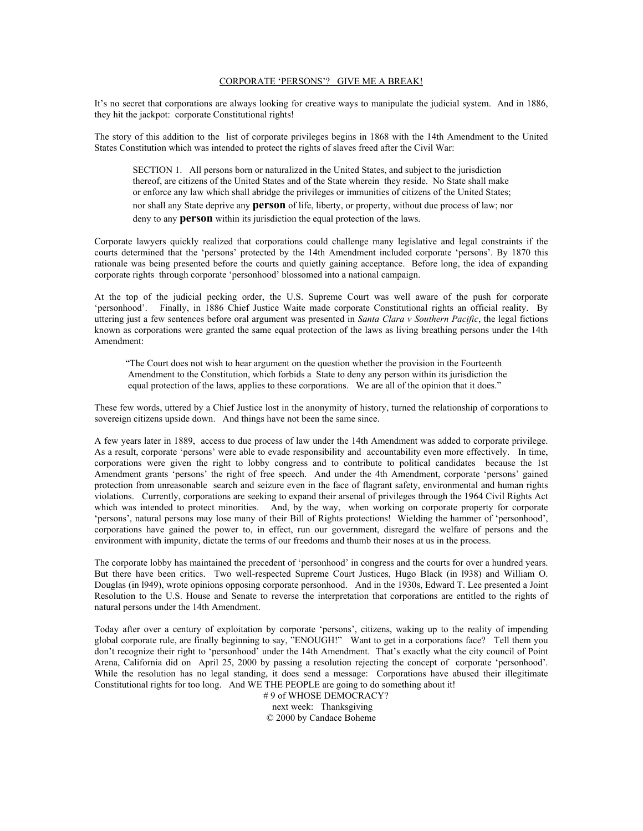#### CORPORATE 'PERSONS'? GIVE ME A BREAK!

It's no secret that corporations are always looking for creative ways to manipulate the judicial system. And in 1886, they hit the jackpot: corporate Constitutional rights!

The story of this addition to the list of corporate privileges begins in 1868 with the 14th Amendment to the United States Constitution which was intended to protect the rights of slaves freed after the Civil War:

 SECTION 1. All persons born or naturalized in the United States, and subject to the jurisdiction thereof, are citizens of the United States and of the State wherein they reside. No State shall make or enforce any law which shall abridge the privileges or immunities of citizens of the United States; nor shall any State deprive any **person** of life, liberty, or property, without due process of law; nor deny to any **person** within its jurisdiction the equal protection of the laws.

Corporate lawyers quickly realized that corporations could challenge many legislative and legal constraints if the courts determined that the 'persons' protected by the 14th Amendment included corporate 'persons'. By 1870 this rationale was being presented before the courts and quietly gaining acceptance. Before long, the idea of expanding corporate rights through corporate 'personhood' blossomed into a national campaign.

At the top of the judicial pecking order, the U.S. Supreme Court was well aware of the push for corporate 'personhood'. Finally, in 1886 Chief Justice Waite made corporate Constitutional rights an official reality. By uttering just a few sentences before oral argument was presented in *Santa Clara v Southern Pacific*, the legal fictions known as corporations were granted the same equal protection of the laws as living breathing persons under the 14th Amendment:

 "The Court does not wish to hear argument on the question whether the provision in the Fourteenth Amendment to the Constitution, which forbids a State to deny any person within its jurisdiction the equal protection of the laws, applies to these corporations. We are all of the opinion that it does."

These few words, uttered by a Chief Justice lost in the anonymity of history, turned the relationship of corporations to sovereign citizens upside down. And things have not been the same since.

A few years later in 1889, access to due process of law under the 14th Amendment was added to corporate privilege. As a result, corporate 'persons' were able to evade responsibility and accountability even more effectively. In time, corporations were given the right to lobby congress and to contribute to political candidates because the 1st Amendment grants 'persons' the right of free speech. And under the 4th Amendment, corporate 'persons' gained protection from unreasonable search and seizure even in the face of flagrant safety, environmental and human rights violations. Currently, corporations are seeking to expand their arsenal of privileges through the 1964 Civil Rights Act which was intended to protect minorities. And, by the way, when working on corporate property for corporate 'persons', natural persons may lose many of their Bill of Rights protections! Wielding the hammer of 'personhood', corporations have gained the power to, in effect, run our government, disregard the welfare of persons and the environment with impunity, dictate the terms of our freedoms and thumb their noses at us in the process.

The corporate lobby has maintained the precedent of 'personhood' in congress and the courts for over a hundred years. But there have been critics. Two well-respected Supreme Court Justices, Hugo Black (in l938) and William O. Douglas (in l949), wrote opinions opposing corporate personhood. And in the 1930s, Edward T. Lee presented a Joint Resolution to the U.S. House and Senate to reverse the interpretation that corporations are entitled to the rights of natural persons under the 14th Amendment.

Today after over a century of exploitation by corporate 'persons', citizens, waking up to the reality of impending global corporate rule, are finally beginning to say, "ENOUGH!" Want to get in a corporations face? Tell them you don't recognize their right to 'personhood' under the 14th Amendment. That's exactly what the city council of Point Arena, California did on April 25, 2000 by passing a resolution rejecting the concept of corporate 'personhood'. While the resolution has no legal standing, it does send a message: Corporations have abused their illegitimate Constitutional rights for too long. And WE THE PEOPLE are going to do something about it!

 # 9 of WHOSE DEMOCRACY? next week: Thanksgiving © 2000 by Candace Boheme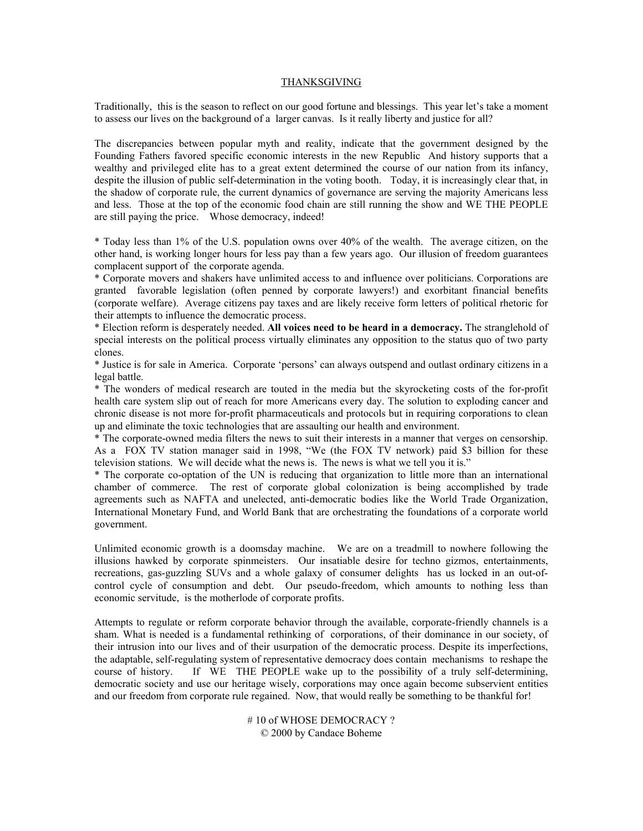#### THANKSGIVING

Traditionally, this is the season to reflect on our good fortune and blessings. This year let's take a moment to assess our lives on the background of a larger canvas. Is it really liberty and justice for all?

The discrepancies between popular myth and reality, indicate that the government designed by the Founding Fathers favored specific economic interests in the new Republic And history supports that a wealthy and privileged elite has to a great extent determined the course of our nation from its infancy, despite the illusion of public self-determination in the voting booth. Today, it is increasingly clear that, in the shadow of corporate rule, the current dynamics of governance are serving the majority Americans less and less. Those at the top of the economic food chain are still running the show and WE THE PEOPLE are still paying the price. Whose democracy, indeed!

\* Today less than 1% of the U.S. population owns over 40% of the wealth. The average citizen, on the other hand, is working longer hours for less pay than a few years ago. Our illusion of freedom guarantees complacent support of the corporate agenda.

\* Corporate movers and shakers have unlimited access to and influence over politicians. Corporations are granted favorable legislation (often penned by corporate lawyers!) and exorbitant financial benefits (corporate welfare). Average citizens pay taxes and are likely receive form letters of political rhetoric for their attempts to influence the democratic process.

\* Election reform is desperately needed. **All voices need to be heard in a democracy.** The stranglehold of special interests on the political process virtually eliminates any opposition to the status quo of two party clones.

\* Justice is for sale in America. Corporate 'persons' can always outspend and outlast ordinary citizens in a legal battle.

\* The wonders of medical research are touted in the media but the skyrocketing costs of the for-profit health care system slip out of reach for more Americans every day. The solution to exploding cancer and chronic disease is not more for-profit pharmaceuticals and protocols but in requiring corporations to clean up and eliminate the toxic technologies that are assaulting our health and environment.

\* The corporate-owned media filters the news to suit their interests in a manner that verges on censorship. As a FOX TV station manager said in 1998, "We (the FOX TV network) paid \$3 billion for these television stations. We will decide what the news is. The news is what we tell you it is."

\* The corporate co-optation of the UN is reducing that organization to little more than an international chamber of commerce. The rest of corporate global colonization is being accomplished by trade agreements such as NAFTA and unelected, anti-democratic bodies like the World Trade Organization, International Monetary Fund, and World Bank that are orchestrating the foundations of a corporate world government.

Unlimited economic growth is a doomsday machine. We are on a treadmill to nowhere following the illusions hawked by corporate spinmeisters. Our insatiable desire for techno gizmos, entertainments, recreations, gas-guzzling SUVs and a whole galaxy of consumer delights has us locked in an out-ofcontrol cycle of consumption and debt. Our pseudo-freedom, which amounts to nothing less than economic servitude, is the motherlode of corporate profits.

Attempts to regulate or reform corporate behavior through the available, corporate-friendly channels is a sham. What is needed is a fundamental rethinking of corporations, of their dominance in our society, of their intrusion into our lives and of their usurpation of the democratic process. Despite its imperfections, the adaptable, self-regulating system of representative democracy does contain mechanisms to reshape the course of history. If WE THE PEOPLE wake up to the possibility of a truly self-determining, democratic society and use our heritage wisely, corporations may once again become subservient entities and our freedom from corporate rule regained. Now, that would really be something to be thankful for!

> # 10 of WHOSE DEMOCRACY ? © 2000 by Candace Boheme